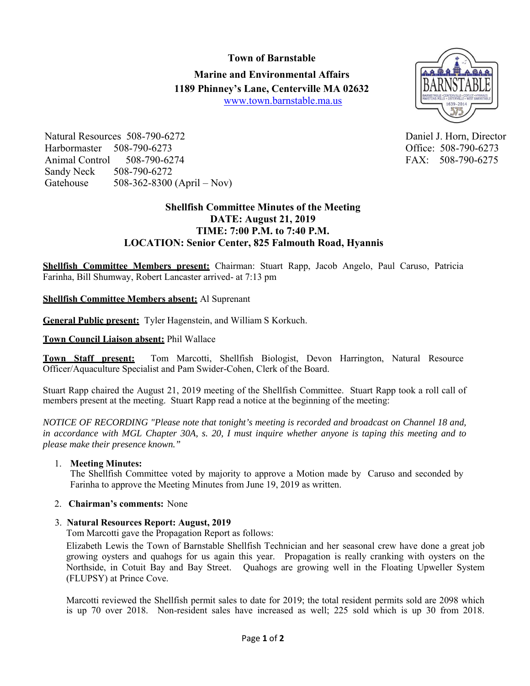# **Town of Barnstable Marine and Environmental Affairs 1189 Phinney's Lane, Centerville MA 02632** www.town.barnstable.ma.us



Natural Resources 508-790-6272 Daniel J. Horn, Director Harbormaster 508-790-6273 Office: 508-790-6273 Animal Control 508-790-6274 FAX: 508-790-6275 Sandy Neck 508-790-6272 Gatehouse 508-362-8300 (April – Nov)

# **Shellfish Committee Minutes of the Meeting DATE: August 21, 2019 TIME: 7:00 P.M. to 7:40 P.M. LOCATION: Senior Center, 825 Falmouth Road, Hyannis**

**Shellfish Committee Members present:** Chairman: Stuart Rapp, Jacob Angelo, Paul Caruso, Patricia Farinha, Bill Shumway, Robert Lancaster arrived- at 7:13 pm

## **Shellfish Committee Members absent:** Al Suprenant

**General Public present:** Tyler Hagenstein, and William S Korkuch.

### **Town Council Liaison absent:** Phil Wallace

**Town Staff present:** Tom Marcotti, Shellfish Biologist, Devon Harrington, Natural Resource Officer/Aquaculture Specialist and Pam Swider-Cohen, Clerk of the Board.

Stuart Rapp chaired the August 21, 2019 meeting of the Shellfish Committee. Stuart Rapp took a roll call of members present at the meeting. Stuart Rapp read a notice at the beginning of the meeting:

*NOTICE OF RECORDING "Please note that tonight's meeting is recorded and broadcast on Channel 18 and, in accordance with MGL Chapter 30A, s. 20, I must inquire whether anyone is taping this meeting and to please make their presence known."*

#### 1. **Meeting Minutes:**

The Shellfish Committee voted by majority to approve a Motion made by Caruso and seconded by Farinha to approve the Meeting Minutes from June 19, 2019 as written.

#### 2. **Chairman's comments:** None

#### 3. **Natural Resources Report: August, 2019**

Tom Marcotti gave the Propagation Report as follows:

Elizabeth Lewis the Town of Barnstable Shellfish Technician and her seasonal crew have done a great job growing oysters and quahogs for us again this year. Propagation is really cranking with oysters on the Northside, in Cotuit Bay and Bay Street. Quahogs are growing well in the Floating Upweller System (FLUPSY) at Prince Cove.

Marcotti reviewed the Shellfish permit sales to date for 2019; the total resident permits sold are 2098 which is up 70 over 2018. Non-resident sales have increased as well; 225 sold which is up 30 from 2018.